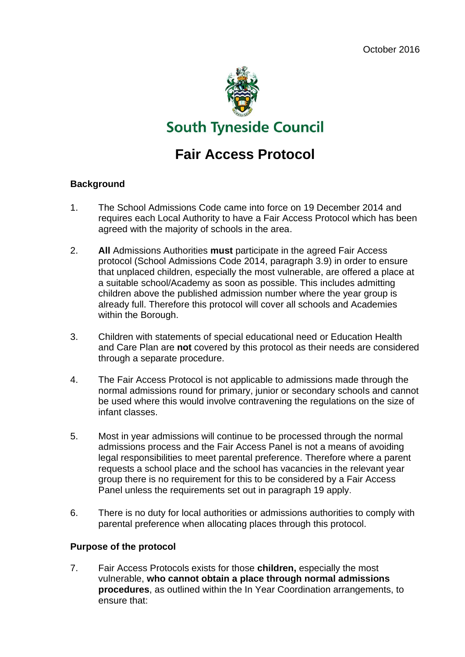

# **Fair Access Protocol**

#### **Background**

- 1. The School Admissions Code came into force on 19 December 2014 and requires each Local Authority to have a Fair Access Protocol which has been agreed with the majority of schools in the area.
- 2. **All** Admissions Authorities **must** participate in the agreed Fair Access protocol (School Admissions Code 2014, paragraph 3.9) in order to ensure that unplaced children, especially the most vulnerable, are offered a place at a suitable school/Academy as soon as possible. This includes admitting children above the published admission number where the year group is already full. Therefore this protocol will cover all schools and Academies within the Borough.
- 3. Children with statements of special educational need or Education Health and Care Plan are **not** covered by this protocol as their needs are considered through a separate procedure.
- 4. The Fair Access Protocol is not applicable to admissions made through the normal admissions round for primary, junior or secondary schools and cannot be used where this would involve contravening the regulations on the size of infant classes.
- 5. Most in year admissions will continue to be processed through the normal admissions process and the Fair Access Panel is not a means of avoiding legal responsibilities to meet parental preference. Therefore where a parent requests a school place and the school has vacancies in the relevant year group there is no requirement for this to be considered by a Fair Access Panel unless the requirements set out in paragraph 19 apply.
- 6. There is no duty for local authorities or admissions authorities to comply with parental preference when allocating places through this protocol.

#### **Purpose of the protocol**

7. Fair Access Protocols exists for those **children,** especially the most vulnerable, **who cannot obtain a place through normal admissions procedures**, as outlined within the In Year Coordination arrangements, to ensure that: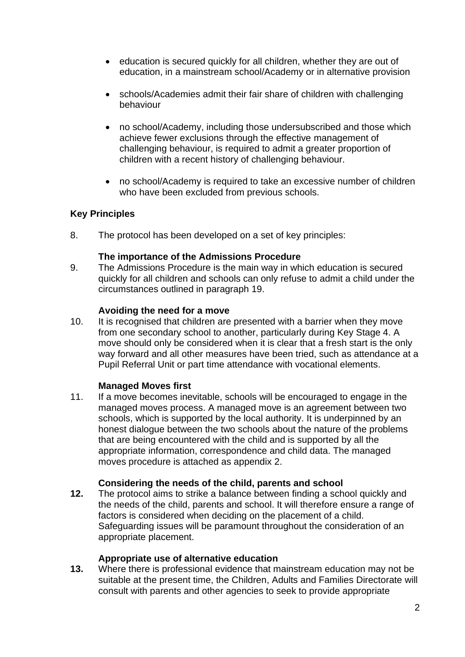- education is secured quickly for all children, whether they are out of education, in a mainstream school/Academy or in alternative provision
- schools/Academies admit their fair share of children with challenging behaviour
- no school/Academy, including those undersubscribed and those which achieve fewer exclusions through the effective management of challenging behaviour, is required to admit a greater proportion of children with a recent history of challenging behaviour.
- no school/Academy is required to take an excessive number of children who have been excluded from previous schools.

## **Key Principles**

8. The protocol has been developed on a set of key principles:

#### **The importance of the Admissions Procedure**

9. The Admissions Procedure is the main way in which education is secured quickly for all children and schools can only refuse to admit a child under the circumstances outlined in paragraph 19.

#### **Avoiding the need for a move**

10. It is recognised that children are presented with a barrier when they move from one secondary school to another, particularly during Key Stage 4. A move should only be considered when it is clear that a fresh start is the only way forward and all other measures have been tried, such as attendance at a Pupil Referral Unit or part time attendance with vocational elements.

## **Managed Moves first**

11. If a move becomes inevitable, schools will be encouraged to engage in the managed moves process. A managed move is an agreement between two schools, which is supported by the local authority. It is underpinned by an honest dialogue between the two schools about the nature of the problems that are being encountered with the child and is supported by all the appropriate information, correspondence and child data. The managed moves procedure is attached as appendix 2.

#### **Considering the needs of the child, parents and school**

**12.** The protocol aims to strike a balance between finding a school quickly and the needs of the child, parents and school. It will therefore ensure a range of factors is considered when deciding on the placement of a child. Safeguarding issues will be paramount throughout the consideration of an appropriate placement.

#### **Appropriate use of alternative education**

**13.** Where there is professional evidence that mainstream education may not be suitable at the present time, the Children, Adults and Families Directorate will consult with parents and other agencies to seek to provide appropriate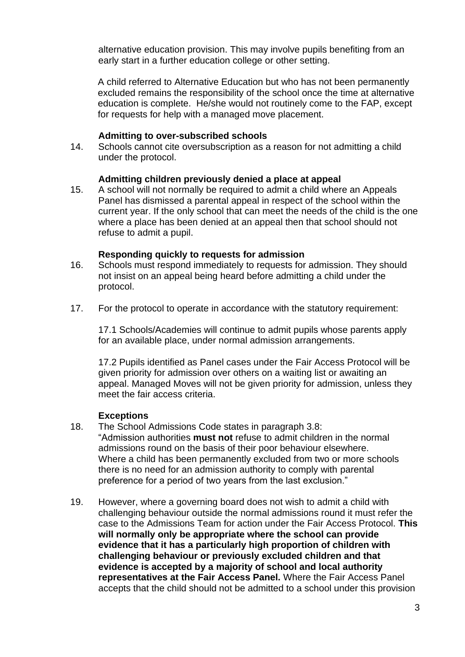alternative education provision. This may involve pupils benefiting from an early start in a further education college or other setting.

A child referred to Alternative Education but who has not been permanently excluded remains the responsibility of the school once the time at alternative education is complete. He/she would not routinely come to the FAP, except for requests for help with a managed move placement.

#### **Admitting to over-subscribed schools**

14. Schools cannot cite oversubscription as a reason for not admitting a child under the protocol.

#### **Admitting children previously denied a place at appeal**

15. A school will not normally be required to admit a child where an Appeals Panel has dismissed a parental appeal in respect of the school within the current year. If the only school that can meet the needs of the child is the one where a place has been denied at an appeal then that school should not refuse to admit a pupil.

#### **Responding quickly to requests for admission**

- 16. Schools must respond immediately to requests for admission. They should not insist on an appeal being heard before admitting a child under the protocol.
- 17. For the protocol to operate in accordance with the statutory requirement:

17.1 Schools/Academies will continue to admit pupils whose parents apply for an available place, under normal admission arrangements.

17.2 Pupils identified as Panel cases under the Fair Access Protocol will be given priority for admission over others on a waiting list or awaiting an appeal. Managed Moves will not be given priority for admission, unless they meet the fair access criteria.

#### **Exceptions**

- 18. The School Admissions Code states in paragraph 3.8: "Admission authorities **must not** refuse to admit children in the normal admissions round on the basis of their poor behaviour elsewhere. Where a child has been permanently excluded from two or more schools there is no need for an admission authority to comply with parental preference for a period of two years from the last exclusion."
- 19. However, where a governing board does not wish to admit a child with challenging behaviour outside the normal admissions round it must refer the case to the Admissions Team for action under the Fair Access Protocol. **This will normally only be appropriate where the school can provide evidence that it has a particularly high proportion of children with challenging behaviour or previously excluded children and that evidence is accepted by a majority of school and local authority representatives at the Fair Access Panel.** Where the Fair Access Panel accepts that the child should not be admitted to a school under this provision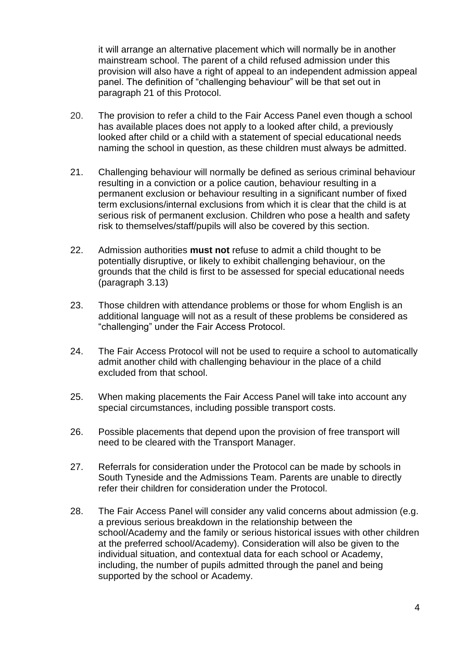it will arrange an alternative placement which will normally be in another mainstream school. The parent of a child refused admission under this provision will also have a right of appeal to an independent admission appeal panel. The definition of "challenging behaviour" will be that set out in paragraph 21 of this Protocol.

- 20. The provision to refer a child to the Fair Access Panel even though a school has available places does not apply to a looked after child, a previously looked after child or a child with a statement of special educational needs naming the school in question, as these children must always be admitted.
- 21. Challenging behaviour will normally be defined as serious criminal behaviour resulting in a conviction or a police caution, behaviour resulting in a permanent exclusion or behaviour resulting in a significant number of fixed term exclusions/internal exclusions from which it is clear that the child is at serious risk of permanent exclusion. Children who pose a health and safety risk to themselves/staff/pupils will also be covered by this section.
- 22. Admission authorities **must not** refuse to admit a child thought to be potentially disruptive, or likely to exhibit challenging behaviour, on the grounds that the child is first to be assessed for special educational needs (paragraph 3.13)
- 23. Those children with attendance problems or those for whom English is an additional language will not as a result of these problems be considered as "challenging" under the Fair Access Protocol.
- 24. The Fair Access Protocol will not be used to require a school to automatically admit another child with challenging behaviour in the place of a child excluded from that school.
- 25. When making placements the Fair Access Panel will take into account any special circumstances, including possible transport costs.
- 26. Possible placements that depend upon the provision of free transport will need to be cleared with the Transport Manager.
- 27. Referrals for consideration under the Protocol can be made by schools in South Tyneside and the Admissions Team. Parents are unable to directly refer their children for consideration under the Protocol.
- 28. The Fair Access Panel will consider any valid concerns about admission (e.g. a previous serious breakdown in the relationship between the school/Academy and the family or serious historical issues with other children at the preferred school/Academy). Consideration will also be given to the individual situation, and contextual data for each school or Academy, including, the number of pupils admitted through the panel and being supported by the school or Academy.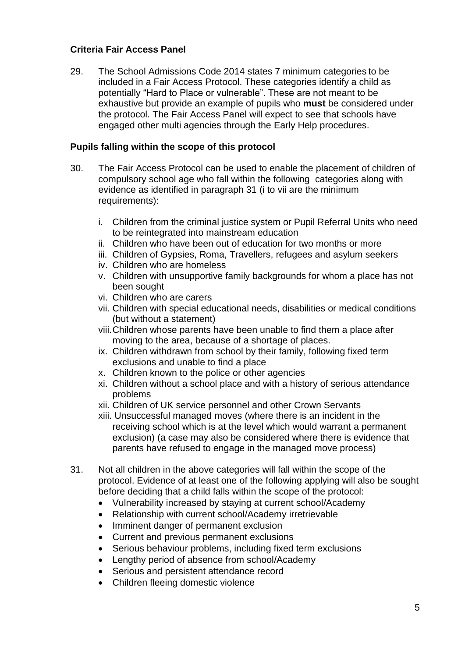#### **Criteria Fair Access Panel**

29. The School Admissions Code 2014 states 7 minimum categories to be included in a Fair Access Protocol. These categories identify a child as potentially "Hard to Place or vulnerable". These are not meant to be exhaustive but provide an example of pupils who **must** be considered under the protocol. The Fair Access Panel will expect to see that schools have engaged other multi agencies through the Early Help procedures.

#### **Pupils falling within the scope of this protocol**

- 30. The Fair Access Protocol can be used to enable the placement of children of compulsory school age who fall within the following categories along with evidence as identified in paragraph 31 (i to vii are the minimum requirements):
	- i. Children from the criminal justice system or Pupil Referral Units who need to be reintegrated into mainstream education
	- ii. Children who have been out of education for two months or more
	- iii. Children of Gypsies, Roma, Travellers, refugees and asylum seekers
	- iv. Children who are homeless
	- v. Children with unsupportive family backgrounds for whom a place has not been sought
	- vi. Children who are carers
	- vii. Children with special educational needs, disabilities or medical conditions (but without a statement)
	- viii.Children whose parents have been unable to find them a place after moving to the area, because of a shortage of places.
	- ix. Children withdrawn from school by their family, following fixed term exclusions and unable to find a place
	- x. Children known to the police or other agencies
	- xi. Children without a school place and with a history of serious attendance problems
	- xii. Children of UK service personnel and other Crown Servants
	- xiii. Unsuccessful managed moves (where there is an incident in the receiving school which is at the level which would warrant a permanent exclusion) (a case may also be considered where there is evidence that parents have refused to engage in the managed move process)
- 31. Not all children in the above categories will fall within the scope of the protocol. Evidence of at least one of the following applying will also be sought before deciding that a child falls within the scope of the protocol:
	- Vulnerability increased by staying at current school/Academy
	- Relationship with current school/Academy irretrievable
	- Imminent danger of permanent exclusion
	- Current and previous permanent exclusions
	- Serious behaviour problems, including fixed term exclusions
	- Lengthy period of absence from school/Academy
	- Serious and persistent attendance record
	- Children fleeing domestic violence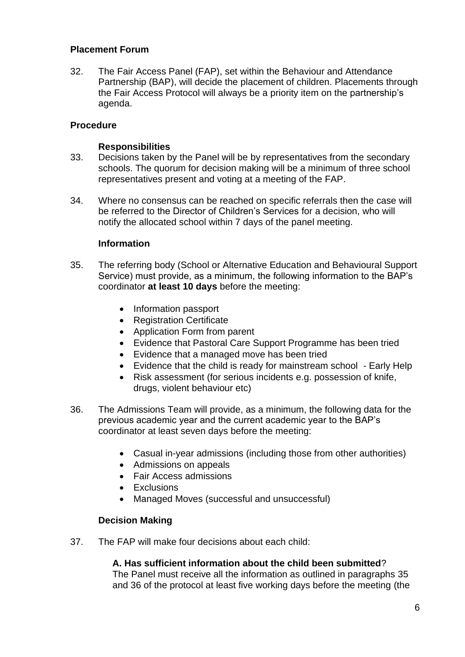#### **Placement Forum**

32. The Fair Access Panel (FAP), set within the Behaviour and Attendance Partnership (BAP), will decide the placement of children. Placements through the Fair Access Protocol will always be a priority item on the partnership's agenda.

#### **Procedure**

#### **Responsibilities**

- 33. Decisions taken by the Panel will be by representatives from the secondary schools. The quorum for decision making will be a minimum of three school representatives present and voting at a meeting of the FAP.
- 34. Where no consensus can be reached on specific referrals then the case will be referred to the Director of Children's Services for a decision, who will notify the allocated school within 7 days of the panel meeting.

#### **Information**

- 35. The referring body (School or Alternative Education and Behavioural Support Service) must provide, as a minimum, the following information to the BAP's coordinator **at least 10 days** before the meeting:
	- Information passport
	- Registration Certificate
	- Application Form from parent
	- Evidence that Pastoral Care Support Programme has been tried
	- Evidence that a managed move has been tried
	- Evidence that the child is ready for mainstream school Early Help
	- Risk assessment (for serious incidents e.g. possession of knife, drugs, violent behaviour etc)
- 36. The Admissions Team will provide, as a minimum, the following data for the previous academic year and the current academic year to the BAP's coordinator at least seven days before the meeting:
	- Casual in-year admissions (including those from other authorities)
	- Admissions on appeals
	- Fair Access admissions
	- Exclusions
	- Managed Moves (successful and unsuccessful)

#### **Decision Making**

37. The FAP will make four decisions about each child:

#### **A. Has sufficient information about the child been submitted**?

The Panel must receive all the information as outlined in paragraphs 35 and 36 of the protocol at least five working days before the meeting (the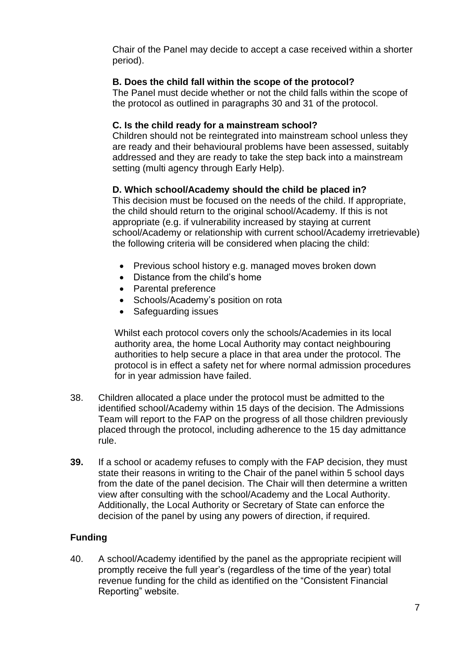Chair of the Panel may decide to accept a case received within a shorter period).

# **B. Does the child fall within the scope of the protocol?**

The Panel must decide whether or not the child falls within the scope of the protocol as outlined in paragraphs 30 and 31 of the protocol.

# **C. Is the child ready for a mainstream school?**

Children should not be reintegrated into mainstream school unless they are ready and their behavioural problems have been assessed, suitably addressed and they are ready to take the step back into a mainstream setting (multi agency through Early Help).

# **D. Which school/Academy should the child be placed in?**

This decision must be focused on the needs of the child. If appropriate, the child should return to the original school/Academy. If this is not appropriate (e.g. if vulnerability increased by staying at current school/Academy or relationship with current school/Academy irretrievable) the following criteria will be considered when placing the child:

- Previous school history e.g. managed moves broken down
- Distance from the child's home
- Parental preference
- Schools/Academy's position on rota
- Safeguarding issues

Whilst each protocol covers only the schools/Academies in its local authority area, the home Local Authority may contact neighbouring authorities to help secure a place in that area under the protocol. The protocol is in effect a safety net for where normal admission procedures for in year admission have failed.

- 38. Children allocated a place under the protocol must be admitted to the identified school/Academy within 15 days of the decision. The Admissions Team will report to the FAP on the progress of all those children previously placed through the protocol, including adherence to the 15 day admittance rule.
- **39.** If a school or academy refuses to comply with the FAP decision, they must state their reasons in writing to the Chair of the panel within 5 school days from the date of the panel decision. The Chair will then determine a written view after consulting with the school/Academy and the Local Authority. Additionally, the Local Authority or Secretary of State can enforce the decision of the panel by using any powers of direction, if required.

# **Funding**

40. A school/Academy identified by the panel as the appropriate recipient will promptly receive the full year's (regardless of the time of the year) total revenue funding for the child as identified on the "Consistent Financial Reporting" website.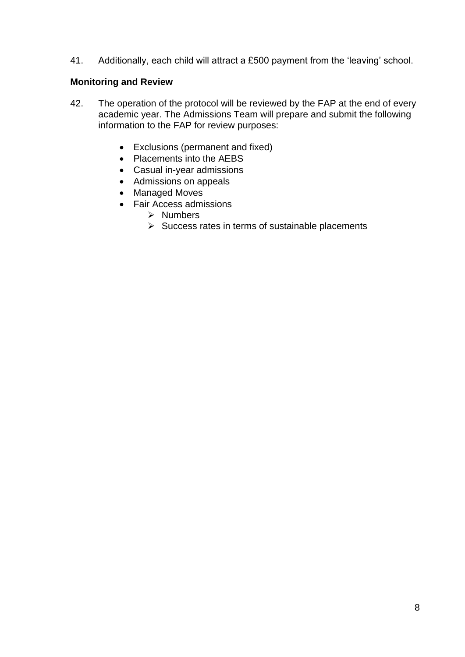41. Additionally, each child will attract a £500 payment from the 'leaving' school.

#### **Monitoring and Review**

- 42. The operation of the protocol will be reviewed by the FAP at the end of every academic year. The Admissions Team will prepare and submit the following information to the FAP for review purposes:
	- Exclusions (permanent and fixed)
	- Placements into the AEBS
	- Casual in-year admissions
	- Admissions on appeals
	- Managed Moves
	- Fair Access admissions
		- ➢ Numbers
		- $\triangleright$  Success rates in terms of sustainable placements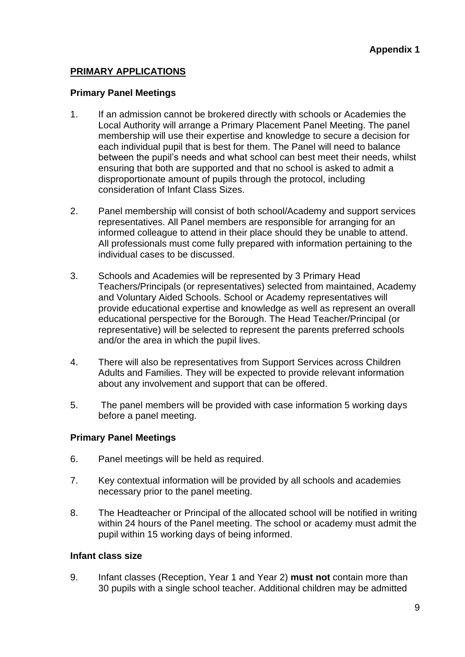# **PRIMARY APPLICATIONS**

#### **Primary Panel Meetings**

- 1. If an admission cannot be brokered directly with schools or Academies the Local Authority will arrange a Primary Placement Panel Meeting. The panel membership will use their expertise and knowledge to secure a decision for each individual pupil that is best for them. The Panel will need to balance between the pupil's needs and what school can best meet their needs, whilst ensuring that both are supported and that no school is asked to admit a disproportionate amount of pupils through the protocol, including consideration of Infant Class Sizes.
- 2. Panel membership will consist of both school/Academy and support services representatives. All Panel members are responsible for arranging for an informed colleague to attend in their place should they be unable to attend. All professionals must come fully prepared with information pertaining to the individual cases to be discussed.
- 3. Schools and Academies will be represented by 3 Primary Head Teachers/Principals (or representatives) selected from maintained, Academy and Voluntary Aided Schools. School or Academy representatives will provide educational expertise and knowledge as well as represent an overall educational perspective for the Borough. The Head Teacher/Principal (or representative) will be selected to represent the parents preferred schools and/or the area in which the pupil lives.
- 4. There will also be representatives from Support Services across Children Adults and Families. They will be expected to provide relevant information about any involvement and support that can be offered.
- 5. The panel members will be provided with case information 5 working days before a panel meeting.

#### **Primary Panel Meetings**

- 6. Panel meetings will be held as required.
- 7. Key contextual information will be provided by all schools and academies necessary prior to the panel meeting.
- 8. The Headteacher or Principal of the allocated school will be notified in writing within 24 hours of the Panel meeting. The school or academy must admit the pupil within 15 working days of being informed.

#### **Infant class size**

9. Infant classes (Reception, Year 1 and Year 2) **must not** contain more than 30 pupils with a single school teacher. Additional children may be admitted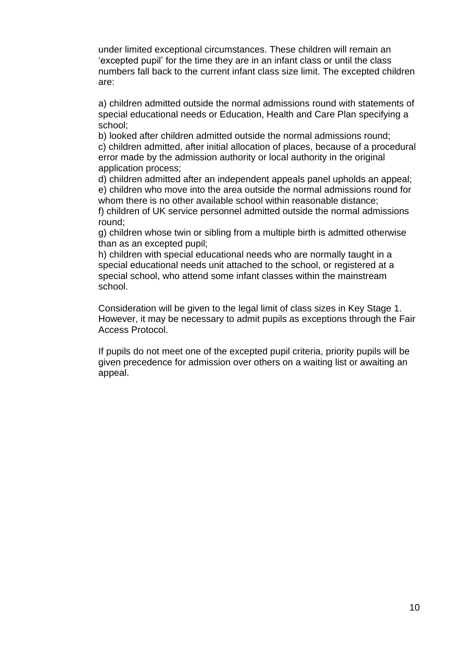under limited exceptional circumstances. These children will remain an 'excepted pupil' for the time they are in an infant class or until the class numbers fall back to the current infant class size limit. The excepted children are:

a) children admitted outside the normal admissions round with statements of special educational needs or Education, Health and Care Plan specifying a school;

b) looked after children admitted outside the normal admissions round; c) children admitted, after initial allocation of places, because of a procedural error made by the admission authority or local authority in the original application process;

d) children admitted after an independent appeals panel upholds an appeal; e) children who move into the area outside the normal admissions round for whom there is no other available school within reasonable distance;

f) children of UK service personnel admitted outside the normal admissions round;

g) children whose twin or sibling from a multiple birth is admitted otherwise than as an excepted pupil;

h) children with special educational needs who are normally taught in a special educational needs unit attached to the school, or registered at a special school, who attend some infant classes within the mainstream school.

Consideration will be given to the legal limit of class sizes in Key Stage 1. However, it may be necessary to admit pupils as exceptions through the Fair Access Protocol.

If pupils do not meet one of the excepted pupil criteria, priority pupils will be given precedence for admission over others on a waiting list or awaiting an appeal.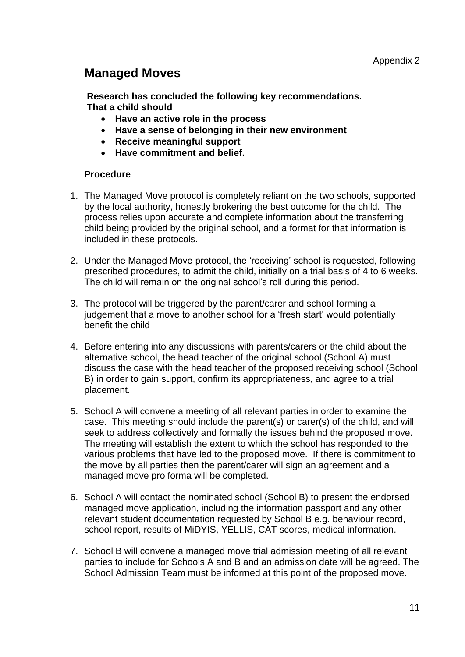# **Managed Moves**

**Research has concluded the following key recommendations. That a child should**

- **Have an active role in the process**
- **Have a sense of belonging in their new environment**
- **Receive meaningful support**
- **Have commitment and belief.**

#### **Procedure**

- 1. The Managed Move protocol is completely reliant on the two schools, supported by the local authority, honestly brokering the best outcome for the child. The process relies upon accurate and complete information about the transferring child being provided by the original school, and a format for that information is included in these protocols.
- 2. Under the Managed Move protocol, the 'receiving' school is requested, following prescribed procedures, to admit the child, initially on a trial basis of 4 to 6 weeks. The child will remain on the original school's roll during this period.
- 3. The protocol will be triggered by the parent/carer and school forming a judgement that a move to another school for a 'fresh start' would potentially benefit the child
- 4. Before entering into any discussions with parents/carers or the child about the alternative school, the head teacher of the original school (School A) must discuss the case with the head teacher of the proposed receiving school (School B) in order to gain support, confirm its appropriateness, and agree to a trial placement.
- 5. School A will convene a meeting of all relevant parties in order to examine the case. This meeting should include the parent(s) or carer(s) of the child, and will seek to address collectively and formally the issues behind the proposed move. The meeting will establish the extent to which the school has responded to the various problems that have led to the proposed move. If there is commitment to the move by all parties then the parent/carer will sign an agreement and a managed move pro forma will be completed.
- 6. School A will contact the nominated school (School B) to present the endorsed managed move application, including the information passport and any other relevant student documentation requested by School B e.g. behaviour record, school report, results of MiDYIS, YELLIS, CAT scores, medical information.
- 7. School B will convene a managed move trial admission meeting of all relevant parties to include for Schools A and B and an admission date will be agreed. The School Admission Team must be informed at this point of the proposed move.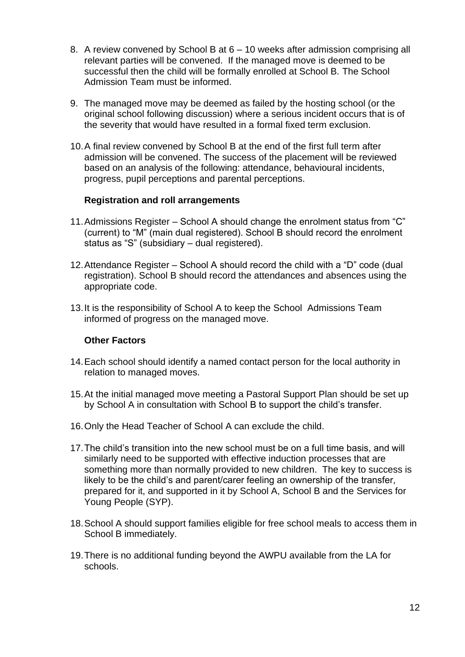- 8. A review convened by School B at 6 10 weeks after admission comprising all relevant parties will be convened. If the managed move is deemed to be successful then the child will be formally enrolled at School B. The School Admission Team must be informed.
- 9. The managed move may be deemed as failed by the hosting school (or the original school following discussion) where a serious incident occurs that is of the severity that would have resulted in a formal fixed term exclusion.
- 10.A final review convened by School B at the end of the first full term after admission will be convened. The success of the placement will be reviewed based on an analysis of the following: attendance, behavioural incidents, progress, pupil perceptions and parental perceptions.

#### **Registration and roll arrangements**

- 11.Admissions Register School A should change the enrolment status from "C" (current) to "M" (main dual registered). School B should record the enrolment status as "S" (subsidiary – dual registered).
- 12.Attendance Register School A should record the child with a "D" code (dual registration). School B should record the attendances and absences using the appropriate code.
- 13.It is the responsibility of School A to keep the School Admissions Team informed of progress on the managed move.

#### **Other Factors**

- 14.Each school should identify a named contact person for the local authority in relation to managed moves.
- 15.At the initial managed move meeting a Pastoral Support Plan should be set up by School A in consultation with School B to support the child's transfer.
- 16.Only the Head Teacher of School A can exclude the child.
- 17.The child's transition into the new school must be on a full time basis, and will similarly need to be supported with effective induction processes that are something more than normally provided to new children. The key to success is likely to be the child's and parent/carer feeling an ownership of the transfer, prepared for it, and supported in it by School A, School B and the Services for Young People (SYP).
- 18.School A should support families eligible for free school meals to access them in School B immediately.
- 19.There is no additional funding beyond the AWPU available from the LA for schools.